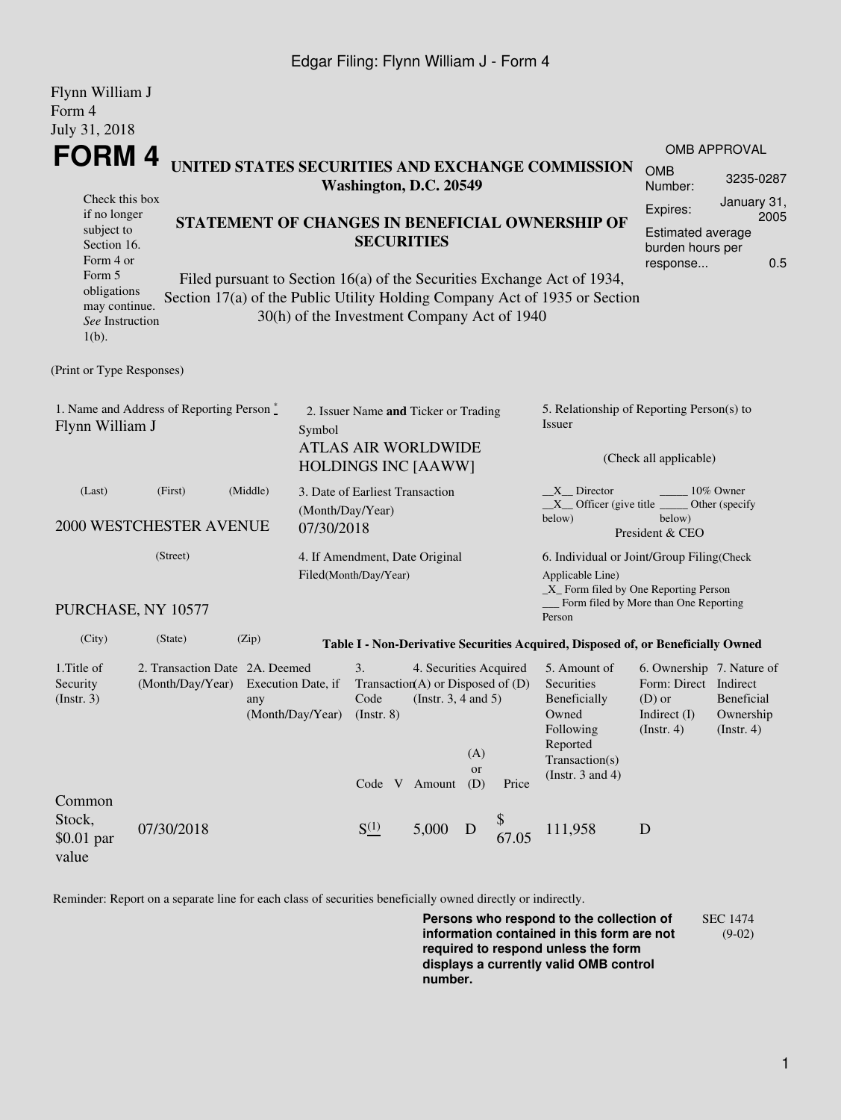### Edgar Filing: Flynn William J - Form 4

| Flynn William J<br>Form 4                                                                                                                                                                                                                                                                                                                                                                                                         |                                                    |          |                                                                            |                                                                                                  |                                               |                       |                                                                                                                                                    |                                                                                                    |                                                                                                      |                                              |  |
|-----------------------------------------------------------------------------------------------------------------------------------------------------------------------------------------------------------------------------------------------------------------------------------------------------------------------------------------------------------------------------------------------------------------------------------|----------------------------------------------------|----------|----------------------------------------------------------------------------|--------------------------------------------------------------------------------------------------|-----------------------------------------------|-----------------------|----------------------------------------------------------------------------------------------------------------------------------------------------|----------------------------------------------------------------------------------------------------|------------------------------------------------------------------------------------------------------|----------------------------------------------|--|
| July 31, 2018                                                                                                                                                                                                                                                                                                                                                                                                                     |                                                    |          |                                                                            |                                                                                                  |                                               |                       |                                                                                                                                                    |                                                                                                    |                                                                                                      |                                              |  |
| <b>FORM4</b>                                                                                                                                                                                                                                                                                                                                                                                                                      |                                                    |          | UNITED STATES SECURITIES AND EXCHANGE COMMISSION<br>Washington, D.C. 20549 |                                                                                                  |                                               |                       |                                                                                                                                                    | OMB APPROVAL<br><b>OMB</b><br>3235-0287<br>Number:                                                 |                                                                                                      |                                              |  |
| Check this box<br>if no longer<br>STATEMENT OF CHANGES IN BENEFICIAL OWNERSHIP OF<br>subject to<br><b>SECURITIES</b><br>Section 16.<br>Form 4 or<br>Form 5<br>Filed pursuant to Section 16(a) of the Securities Exchange Act of 1934,<br>obligations<br>Section 17(a) of the Public Utility Holding Company Act of 1935 or Section<br>may continue.<br>30(h) of the Investment Company Act of 1940<br>See Instruction<br>$1(b)$ . |                                                    |          |                                                                            |                                                                                                  |                                               |                       |                                                                                                                                                    | January 31,<br>Expires:<br>2005<br><b>Estimated average</b><br>burden hours per<br>0.5<br>response |                                                                                                      |                                              |  |
| (Print or Type Responses)                                                                                                                                                                                                                                                                                                                                                                                                         |                                                    |          |                                                                            |                                                                                                  |                                               |                       |                                                                                                                                                    |                                                                                                    |                                                                                                      |                                              |  |
| 1. Name and Address of Reporting Person *<br>Flynn William J<br>Symbol                                                                                                                                                                                                                                                                                                                                                            |                                                    |          |                                                                            | 2. Issuer Name and Ticker or Trading<br><b>ATLAS AIR WORLDWIDE</b><br><b>HOLDINGS INC [AAWW]</b> |                                               |                       |                                                                                                                                                    | 5. Relationship of Reporting Person(s) to<br>Issuer<br>(Check all applicable)                      |                                                                                                      |                                              |  |
| (Last)                                                                                                                                                                                                                                                                                                                                                                                                                            | (First)<br>2000 WESTCHESTER AVENUE                 | (Middle) | (Month/Day/Year)<br>07/30/2018                                             | 3. Date of Earliest Transaction                                                                  |                                               |                       |                                                                                                                                                    | $X$ Director<br>$X$ Officer (give title $\overline{\phantom{a}}$<br>below)                         | below)<br>President & CEO                                                                            | 10% Owner<br>Other (specify                  |  |
| (Street)                                                                                                                                                                                                                                                                                                                                                                                                                          |                                                    |          | 4. If Amendment, Date Original<br>Filed(Month/Day/Year)                    |                                                                                                  |                                               |                       | 6. Individual or Joint/Group Filing(Check<br>Applicable Line)<br>$\_X$ Form filed by One Reporting Person<br>Form filed by More than One Reporting |                                                                                                    |                                                                                                      |                                              |  |
|                                                                                                                                                                                                                                                                                                                                                                                                                                   | PURCHASE, NY 10577                                 |          |                                                                            |                                                                                                  |                                               |                       |                                                                                                                                                    | Person                                                                                             |                                                                                                      |                                              |  |
| (City)                                                                                                                                                                                                                                                                                                                                                                                                                            | (State)                                            | (Zip)    |                                                                            |                                                                                                  |                                               |                       |                                                                                                                                                    | Table I - Non-Derivative Securities Acquired, Disposed of, or Beneficially Owned                   |                                                                                                      |                                              |  |
| 1. Title of<br>Security<br>$($ Instr. 3 $)$                                                                                                                                                                                                                                                                                                                                                                                       | 2. Transaction Date 2A. Deemed<br>(Month/Day/Year) | any      | Execution Date, if<br>(Month/Day/Year) (Instr. 8)                          | 3.<br>Transaction(A) or Disposed of $(D)$<br>Code                                                | 4. Securities Acquired<br>(Instr. 3, 4 and 5) | (A)                   |                                                                                                                                                    | 5. Amount of<br>Securities<br>Beneficially<br>Owned<br>Following<br>Reported<br>Transaction(s)     | 6. Ownership 7. Nature of<br>Form: Direct Indirect<br>$(D)$ or<br>Indirect $(I)$<br>$($ Instr. 4 $)$ | <b>Beneficial</b><br>Ownership<br>(Instr. 4) |  |
| Common<br>Stock,<br>\$0.01 par<br>value                                                                                                                                                                                                                                                                                                                                                                                           | 07/30/2018                                         |          |                                                                            | $S^{(1)}_{-}$                                                                                    | Code V Amount<br>5,000                        | <b>or</b><br>(D)<br>D | Price<br>67.05                                                                                                                                     | (Instr. $3$ and $4$ )<br>111,958                                                                   | $\mathbf D$                                                                                          |                                              |  |

Reminder: Report on a separate line for each class of securities beneficially owned directly or indirectly.

**Persons who respond to the collection of information contained in this form are not required to respond unless the form displays a currently valid OMB control number.** SEC 1474 (9-02)